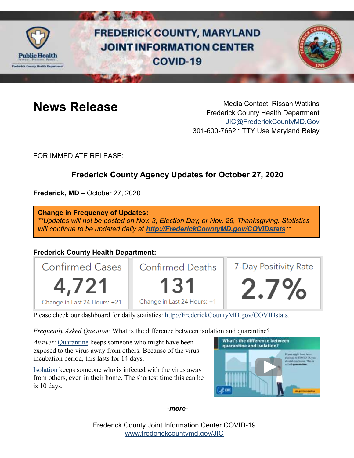

# **FREDERICK COUNTY, MARYLAND JOINT INFORMATION CENTER COVID-19**



**News Release** Media Contact: Rissah Watkins Frederick County Health Department [JIC@FrederickCountyMD.Gov](mailto:JIC@FrederickCountyMD.Gov) 301-600-7662 • TTY Use Maryland Relay

FOR IMMEDIATE RELEASE:

# **Frederick County Agency Updates for October 27, 2020**

**Frederick, MD –** October 27, 2020

**Change in Frequency of Updates:**

*\*\*Updates will not be posted on Nov. 3, Election Day, or Nov. 26, Thanksgiving. Statistics will continue to be updated daily at [http://FrederickCountyMD.gov/COVIDstats](http://frederickcountymd.gov/COVIDstats)\*\**

# **Frederick County Health Department:**



Please check our dashboard for daily statistics: [http://FrederickCountyMD.gov/COVIDstats.](http://frederickcountymd.gov/COVIDstats)

*Frequently Asked Question:* What is the difference between isolation and quarantine?

*Answer*: [Quarantine](https://www.cdc.gov/coronavirus/2019-ncov/if-you-are-sick/quarantine.html) keeps someone who might have been exposed to the virus away from others. Because of the virus incubation period, this lasts for 14 days.

[Isolation](https://www.cdc.gov/coronavirus/2019-ncov/if-you-are-sick/isolation.html) keeps someone who is infected with the virus away from others, even in their home. The shortest time this can be is 10 days.



*-more-*

Frederick County Joint Information Center COVID-19 [www.frederickcountymd.gov/JIC](https://frederickcountymd.gov/JIC)